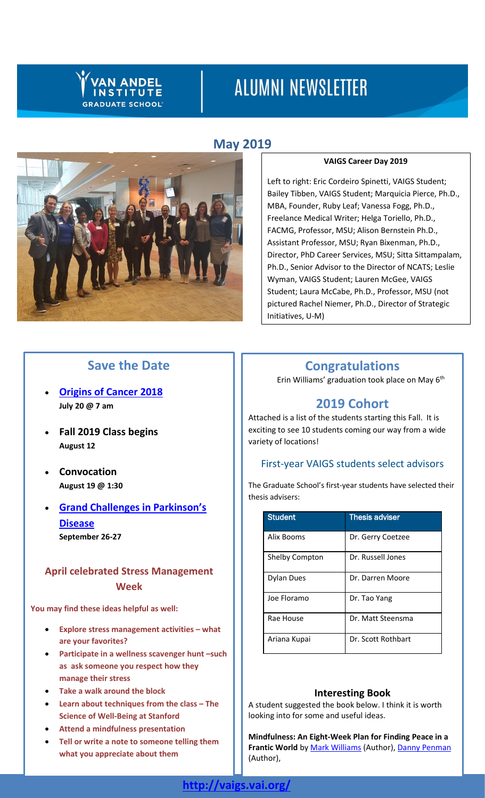# **VAN ANDEL INSTITUTE GRADUATE SCHOOL**

# **ALUMNI NEWSLETTER**

# **May 2019**



## **VAIGS Career Day 2019**

Left to right: Eric Cordeiro Spinetti, VAIGS Student; Bailey Tibben, VAIGS Student; Marquicia Pierce, Ph.D., MBA, Founder, Ruby Leaf; Vanessa Fogg, Ph.D., Freelance Medical Writer; Helga Toriello, Ph.D., FACMG, Professor, MSU; Alison Bernstein Ph.D., Assistant Professor, MSU; Ryan Bixenman, Ph.D., Director, PhD Career Services, MSU; Sitta Sittampalam, Ph.D., Senior Advisor to the Director of NCATS; Leslie Wyman, VAIGS Student; Lauren McGee, VAIGS Student; Laura McCabe, Ph.D., Professor, MSU (not pictured Rachel Niemer, Ph.D., Director of Strategic Initiatives, U-M)

# **Save the Date**

- **[Origins](http://originsofcancer.org/?#new_tab/) of Cancer 2018 July 20 @ 7 am**
- **Fall 2019 Class begins August 12**
- **Convocation August 19 @ 1:30**
- **Grand Challenges in [Parkinson's](http://grandchallengesinpd.org/) [Disease](http://grandchallengesinpd.org/) September 26-27**

## **April celebrated Stress Management Week**

**You may find these ideas helpful as well:**

- **Explore stress management activities – what are your favorites?**
- **Participate in a wellness scavenger hunt –such as ask someone you respect how they manage their stress**
- **Take a walk around the block**
- **Learn about techniques from the class – The Science of Well-Being at Stanford**
- **Attend a mindfulness presentation**
- **Tell or write a note to someone telling them what you appreciate about them**

# **Congratulations**

Erin Williams' graduation took place on May 6th

# **2019 Cohort**

Attached is a list of the students starting this Fall. It is exciting to see 10 students coming our way from a wide variety of locations!

## First-year VAIGS students select advisors

The Graduate School's first-year students have selected their thesis advisers:

| <b>Student</b>        | <b>Thesis adviser</b> |
|-----------------------|-----------------------|
| Alix Booms            | Dr. Gerry Coetzee     |
| <b>Shelby Compton</b> | Dr. Russell Jones     |
| Dylan Dues            | Dr. Darren Moore      |
| Joe Floramo           | Dr. Tao Yang          |
| Rae House             | Dr. Matt Steensma     |
| Ariana Kupai          | Dr. Scott Rothbart    |

## **Interesting Book**

A student suggested the book below. I think it is worth looking into for some and useful ideas.

**Mindfulness: An Eight-Week Plan for Finding Peace in a**  Frantic World b[y Mark Williams](https://www.amazon.com/s/ref=dp_byline_sr_book_1?ie=UTF8&text=Mark+Williams&search-alias=books&field-author=Mark+Williams&sort=relevancerank) (Author)[, Danny Penman](https://www.amazon.com/s/ref=dp_byline_sr_book_2?ie=UTF8&text=Danny+Penman&search-alias=books&field-author=Danny+Penman&sort=relevancerank) (Author),